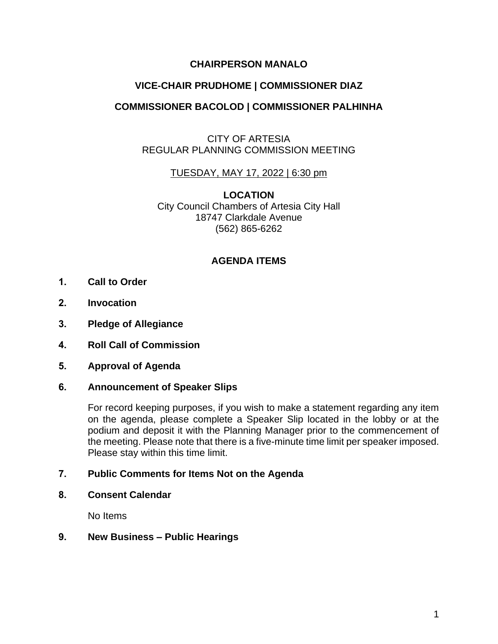## **CHAIRPERSON MANALO**

# **VICE-CHAIR PRUDHOME | COMMISSIONER DIAZ**

# **COMMISSIONER BACOLOD | COMMISSIONER PALHINHA**

## CITY OF ARTESIA REGULAR PLANNING COMMISSION MEETING

#### TUESDAY, MAY 17, 2022 | 6:30 pm

**LOCATION** City Council Chambers of Artesia City Hall 18747 Clarkdale Avenue (562) 865-6262

## **AGENDA ITEMS**

- **1. Call to Order**
- **2. Invocation**
- **3. Pledge of Allegiance**
- **4. Roll Call of Commission**
- **5. Approval of Agenda**

#### **6. Announcement of Speaker Slips**

For record keeping purposes, if you wish to make a statement regarding any item on the agenda, please complete a Speaker Slip located in the lobby or at the podium and deposit it with the Planning Manager prior to the commencement of the meeting. Please note that there is a five-minute time limit per speaker imposed. Please stay within this time limit.

#### **7. Public Comments for Items Not on the Agenda**

**8. Consent Calendar**

No Items

## **9. New Business – Public Hearings**